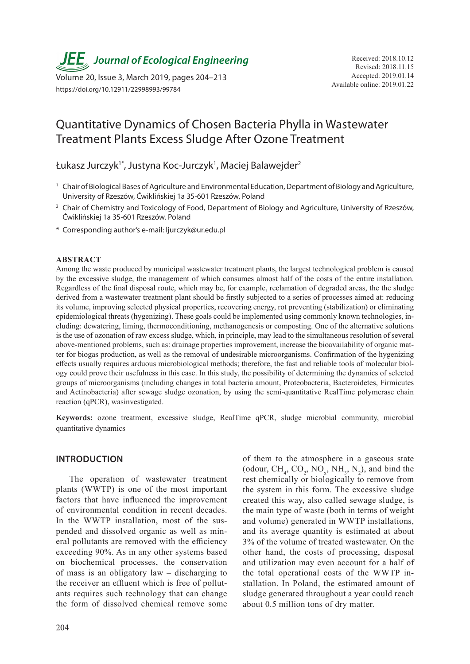*JEE* Journal of Ecological Engineering Received: 2018.10.12

Available online: 2019.01.22 Volume 20, Issue 3, March 2019, pages 204–213 https://doi.org/10.12911/22998993/99784

# Quantitative Dynamics of Chosen Bacteria Phylla in Wastewater Treatment Plants Excess Sludge After Ozone Treatment

Łukasz Jurczyk<sup>1\*</sup>, Justyna Koc-Jurczyk<sup>1</sup>, Maciej Balawejder<sup>2</sup>

- 1 Chair of Biological Bases of Agriculture and Environmental Education, Department of Biology and Agriculture, University of Rzeszów, Ćwiklińskiej 1a 35-601 Rzeszów, Poland
- <sup>2</sup> Chair of Chemistry and Toxicology of Food, Department of Biology and Agriculture, University of Rzeszów, Ćwiklińskiej 1a 35-601 Rzeszów. Poland
- \* Corresponding author's e-mail: ljurczyk@ur.edu.pl

#### **ABSTRACT**

Among the waste produced by municipal wastewater treatment plants, the largest technological problem is caused by the excessive sludge, the management of which consumes almost half of the costs of the entire installation. Regardless of the final disposal route, which may be, for example, reclamation of degraded areas, the the sludge derived from a wastewater treatment plant should be firstly subjected to a series of processes aimed at: reducing its volume, improving selected physical properties, recovering energy, rot preventing (stabilization) or eliminating epidemiological threats (hygenizing). These goals could be implemented using commonly known technologies, including: dewatering, liming, thermoconditioning, methanogenesis or composting. One of the alternative solutions is the use of ozonation of raw excess sludge, which, in principle, may lead to the simultaneous resolution of several above-mentioned problems, such as: drainage properties improvement, increase the bioavailability of organic matter for biogas production, as well as the removal of undesirable microorganisms. Confirmation of the hygenizing effects usually requires arduous microbiological methods; therefore, the fast and reliable tools of molecular biology could prove their usefulness in this case. In this study, the possibility of determining the dynamics of selected groups of microorganisms (including changes in total bacteria amount, Proteobacteria, Bacteroidetes, Firmicutes and Actinobacteria) after sewage sludge ozonation, by using the semi-quantitative RealTime polymerase chain reaction (qPCR), wasinvestigated.

**Keywords:** ozone treatment, excessive sludge, RealTime qPCR, sludge microbial community, microbial quantitative dynamics

# **INTRODUCTION**

The operation of wastewater treatment plants (WWTP) is one of the most important factors that have influenced the improvement of environmental condition in recent decades. In the WWTP installation, most of the suspended and dissolved organic as well as mineral pollutants are removed with the efficiency exceeding 90%. As in any other systems based on biochemical processes, the conservation of mass is an obligatory law – discharging to the receiver an effluent which is free of pollutants requires such technology that can change the form of dissolved chemical remove some

of them to the atmosphere in a gaseous state (odour,  $CH_4$ ,  $CO_2$ ,  $NO_x$ ,  $NH_3$ ,  $N_2$ ), and bind the rest chemically or biologically to remove from the system in this form. The excessive sludge created this way, also called sewage sludge, is the main type of waste (both in terms of weight and volume) generated in WWTP installations, and its average quantity is estimated at about 3% of the volume of treated wastewater. On the other hand, the costs of processing, disposal and utilization may even account for a half of the total operational costs of the WWTP installation. In Poland, the estimated amount of sludge generated throughout a year could reach about 0.5 million tons of dry matter.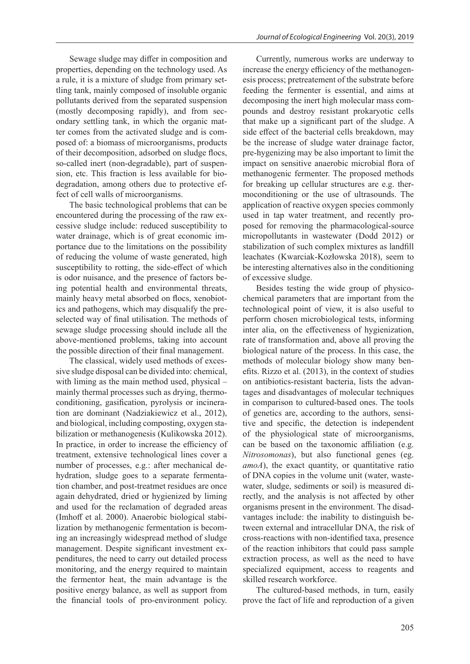Sewage sludge may differ in composition and properties, depending on the technology used. As a rule, it is a mixture of sludge from primary settling tank, mainly composed of insoluble organic pollutants derived from the separated suspension (mostly decomposing rapidly), and from secondary settling tank, in which the organic matter comes from the activated sludge and is composed of: a biomass of microorganisms, products of their decomposition, adsorbed on sludge flocs, so-called inert (non-degradable), part of suspension, etc. This fraction is less available for biodegradation, among others due to protective effect of cell walls of microorganisms.

The basic technological problems that can be encountered during the processing of the raw excessive sludge include: reduced susceptibility to water drainage, which is of great economic importance due to the limitations on the possibility of reducing the volume of waste generated, high susceptibility to rotting, the side-effect of which is odor nuisance, and the presence of factors being potential health and environmental threats, mainly heavy metal absorbed on flocs, xenobiotics and pathogens, which may disqualify the preselected way of final utilisation. The methods of sewage sludge processing should include all the above-mentioned problems, taking into account the possible direction of their final management.

The classical, widely used methods of excessive sludge disposal can be divided into: chemical, with liming as the main method used, physical – mainly thermal processes such as drying, thermoconditioning, gasification, pyrolysis or incineration are dominant (Nadziakiewicz et al., 2012), and biological, including composting, oxygen stabilization or methanogenesis (Kulikowska 2012). In practice, in order to increase the efficiency of treatment, extensive technological lines cover a number of processes, e.g.: after mechanical dehydration, sludge goes to a separate fermentation chamber, and post-treatmet residues are once again dehydrated, dried or hygienized by liming and used for the reclamation of degraded areas (Imhoff et al. 2000). Anaerobic biological stabilization by methanogenic fermentation is becoming an increasingly widespread method of sludge management. Despite significant investment expenditures, the need to carry out detailed process monitoring, and the energy required to maintain the fermentor heat, the main advantage is the positive energy balance, as well as support from the financial tools of pro-environment policy.

Currently, numerous works are underway to increase the energy efficiency of the methanogenesis process; pretreatement of the substrate before feeding the fermenter is essential, and aims at decomposing the inert high molecular mass compounds and destroy resistant prokaryotic cells that make up a significant part of the sludge. A side effect of the bacterial cells breakdown, may be the increase of sludge water drainage factor, pre-hygenizing may be also important to limit the impact on sensitive anaerobic microbial flora of methanogenic fermenter. The proposed methods for breaking up cellular structures are e.g. thermoconditioning or the use of ultrasounds. The application of reactive oxygen species commonly used in tap water treatment, and recently proposed for removing the pharmacological-source micropollutants in wastewater (Dodd 2012) or stabilization of such complex mixtures as landfill leachates (Kwarciak-Kozłowska 2018), seem to be interesting alternatives also in the conditioning of excessive sludge.

Besides testing the wide group of physicochemical parameters that are important from the technological point of view, it is also useful to perform chosen microbiological tests, informing inter alia, on the effectiveness of hygienization, rate of transformation and, above all proving the biological nature of the process. In this case, the methods of molecular biology show many benefits. Rizzo et al. (2013), in the context of studies on antibiotics-resistant bacteria, lists the advantages and disadvantages of molecular techniques in comparison to cultured-based ones. The tools of genetics are, according to the authors, sensitive and specific, the detection is independent of the physiological state of microorganisms, can be based on the taxonomic affiliation (e.g. *Nitrosomonas*), but also functional genes (eg. *amoA*), the exact quantity, or quantitative ratio of DNA copies in the volume unit (water, wastewater, sludge, sediments or soil) is measured directly, and the analysis is not affected by other organisms present in the environment. The disadvantages include: the inability to distinguish between external and intracellular DNA, the risk of cross-reactions with non-identified taxa, presence of the reaction inhibitors that could pass sample extraction process, as well as the need to have specialized equipment, access to reagents and skilled research workforce.

The cultured-based methods, in turn, easily prove the fact of life and reproduction of a given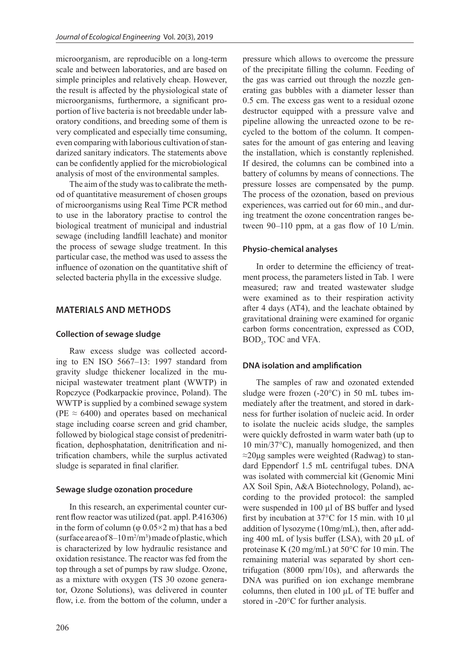microorganism, are reproducible on a long-term scale and between laboratories, and are based on simple principles and relatively cheap. However, the result is affected by the physiological state of microorganisms, furthermore, a significant proportion of live bacteria is not breedable under laboratory conditions, and breeding some of them is very complicated and especially time consuming, even comparing with laborious cultivation of standarized sanitary indicators. The statements above can be confidently applied for the microbiological analysis of most of the environmental samples.

The aim of the study was to calibrate the method of quantitative measurement of chosen groups of microorganisms using Real Time PCR method to use in the laboratory practise to control the biological treatment of municipal and industrial sewage (including landfill leachate) and monitor the process of sewage sludge treatment. In this particular case, the method was used to assess the influence of ozonation on the quantitative shift of selected bacteria phylla in the excessive sludge.

# **MATERIALS AND METHODS**

# **Collection of sewage sludge**

Raw excess sludge was collected according to EN ISO 5667–13: 1997 standard from gravity sludge thickener localized in the municipal wastewater treatment plant (WWTP) in Ropczyce (Podkarpackie province, Poland). The WWTP is supplied by a combined sewage system (PE  $\approx$  6400) and operates based on mechanical stage including coarse screen and grid chamber, followed by biological stage consist of predenitrification, dephosphatation, denitrification and nitrification chambers, while the surplus activated sludge is separated in final clarifier.

#### **Sewage sludge ozonation procedure**

In this research, an experimental counter current flow reactor was utilized (pat. appl. P.416306) in the form of column ( $\varphi$  0.05×2 m) that has a bed (surface area of  $8-10 \,\mathrm{m}^2/\mathrm{m}^3$ ) made of plastic, which is characterized by low hydraulic resistance and oxidation resistance. The reactor was fed from the top through a set of pumps by raw sludge. Ozone, as a mixture with oxygen (TS 30 ozone generator, Ozone Solutions), was delivered in counter flow, i.e. from the bottom of the column, under a

pressure which allows to overcome the pressure of the precipitate filling the column. Feeding of the gas was carried out through the nozzle generating gas bubbles with a diameter lesser than 0.5 cm. The excess gas went to a residual ozone destructor equipped with a pressure valve and pipeline allowing the unreacted ozone to be recycled to the bottom of the column. It compensates for the amount of gas entering and leaving the installation, which is constantly replenished. If desired, the columns can be combined into a battery of columns by means of connections. The pressure losses are compensated by the pump. The process of the ozonation, based on previous experiences, was carried out for 60 min., and during treatment the ozone concentration ranges between 90–110 ppm, at a gas flow of 10 L/min.

### **Physio-chemical analyses**

In order to determine the efficiency of treatment process, the parameters listed in Tab. 1 were measured; raw and treated wastewater sludge were examined as to their respiration activity after 4 days (AT4), and the leachate obtained by gravitational draining were examined for organic carbon forms concentration, expressed as COD,  $BOD<sub>5</sub>$ , TOC and VFA.

#### **DNA isolation and amplification**

The samples of raw and ozonated extended sludge were frozen (-20°C) in 50 mL tubes immediately after the treatment, and stored in darkness for further isolation of nucleic acid. In order to isolate the nucleic acids sludge, the samples were quickly defrosted in warm water bath (up to 10 min/37°C), manually homogenized, and then ≈20μg samples were weighted (Radwag) to standard Eppendorf 1.5 mL centrifugal tubes. DNA was isolated with commercial kit (Genomic Mini AX Soil Spin, A&A Biotechnology, Poland), according to the provided protocol: the sampled were suspended in 100  $\mu$ l of BS buffer and lysed first by incubation at 37°C for 15 min. with 10 µl addition of lysozyme (10mg/mL), then, after adding 400 mL of lysis buffer (LSA), with 20 µL of proteinase K (20 mg/mL) at 50°C for 10 min. The remaining material was separated by short centrifugation (8000 rpm/10s), and afterwards the DNA was purified on ion exchange membrane columns, then eluted in 100 µL of TE buffer and stored in -20°C for further analysis.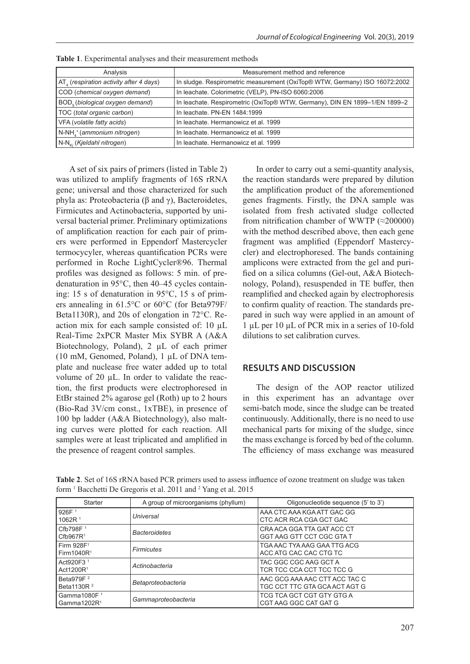| Analysis                                           | Measurement method and reference                                           |  |
|----------------------------------------------------|----------------------------------------------------------------------------|--|
| $AT4$ (respiration activity after 4 days)          | In sludge. Respirometric measurement (OxiTop® WTW, Germany) ISO 16072:2002 |  |
| COD (chemical oxygen demand)                       | In leachate. Colorimetric (VELP), PN-ISO 6060:2006                         |  |
| BOD <sub>5</sub> (biological oxygen demand)        | In leachate. Respirometric (OxiTop® WTW, Germany), DIN EN 1899-1/EN 1899-2 |  |
| TOC (total organic carbon)                         | In leachate, PN-EN 1484:1999                                               |  |
| VFA (volatile fatty acids)                         | In leachate. Hermanowicz et al. 1999                                       |  |
| N-NH <sub>4</sub> <sup>+</sup> (ammonium nitrogen) | In leachate. Hermanowicz et al. 1999                                       |  |
| N-N <sub>ki</sub> (Kjeldahl nitrogen)              | In leachate. Hermanowicz et al. 1999                                       |  |

**Table 1**. Experimental analyses and their measurement methods

A set of six pairs of primers (listed in Table 2) was utilized to amplify fragments of 16S rRNA gene; universal and those characterized for such phyla as: Proteobacteria (β and γ), Bacteroidetes, Firmicutes and Actinobacteria, supported by universal bacterial primer. Preliminary optimizations of amplification reaction for each pair of primers were performed in Eppendorf Mastercycler termocycyler, whereas quantification PCRs were performed in Roche LightCycler®96. Thermal profiles was designed as follows: 5 min. of predenaturation in 95°C, then 40–45 cycles containing: 15 s of denaturation in 95°C, 15 s of primers annealing in 61.5°C or 60°C (for Beta979F/ Beta1130R), and 20s of elongation in 72°C. Reaction mix for each sample consisted of: 10 µL Real-Time 2xPCR Master Mix SYBR A (A&A Biotechnology, Poland), 2 µL of each primer (10 mM, Genomed, Poland), 1 µL of DNA template and nuclease free water added up to total volume of 20 µL. In order to validate the reaction, the first products were electrophoresed in EtBr stained 2% agarose gel (Roth) up to 2 hours (Bio-Rad 3V/cm const., 1xTBE), in presence of 100 bp ladder (A&A Biotechnology), also malting curves were plotted for each reaction. All samples were at least triplicated and amplified in the presence of reagent control samples.

In order to carry out a semi-quantity analysis, the reaction standards were prepared by dilution the amplification product of the aforementioned genes fragments. Firstly, the DNA sample was isolated from fresh activated sludge collected from nitrification chamber of WWTP  $(\approx 200000)$ with the method described above, then each gene fragment was amplified (Eppendorf Mastercycler) and electrophoresed. The bands containing amplicons were extracted from the gel and purified on a silica columns (Gel-out, A&A Biotechnology, Poland), resuspended in TE buffer, then reamplified and checked again by electrophoresis to confirm quality of reaction. The standards prepared in such way were applied in an amount of 1 µL per 10 µL of PCR mix in a series of 10-fold dilutions to set calibration curves.

# **RESULTS AND DISCUSSION**

The design of the AOP reactor utilized in this experiment has an advantage over semi-batch mode, since the sludge can be treated continuously. Additionally, there is no need to use mechanical parts for mixing of the sludge, since the mass exchange is forced by bed of the column. The efficiency of mass exchange was measured

| <b>Starter</b>                                    | A group of microorganisms (phyllum) | Oligonucleotide sequence (5' to 3')                            |  |
|---------------------------------------------------|-------------------------------------|----------------------------------------------------------------|--|
| 926F <sup>1</sup><br>1062R <sup>1</sup>           | Universal                           | AAA CTC AAA KGA ATT GAC GG<br>CTC ACR RCA CGA GCT GAC          |  |
| Cfb798F <sup>1</sup><br>Cfb967R <sup>1</sup>      | <b>Bacteroidetes</b>                | CRA ACA GGA TTA GAT ACC CT<br>GGT AAG GTT CCT CGC GTA T        |  |
| Firm 928F <sup>1</sup><br>$I$ Firm 1040 $R1$      | Firmicutes                          | TGA AAC TYA AAG GAA TTG ACG<br>ACC ATG CAC CAC CTG TC          |  |
| Act920F3 <sup>1</sup><br>Act1200R <sup>1</sup>    | Actinobacteria                      | TAC GGC CGC AAG GCT A<br>TCR TCC CCA CCT TCC TCC G             |  |
| Beta979F <sup>2</sup><br>l Beta1130R <del>?</del> | Betaproteobacteria                  | AAC GCG AAA AAC CTT ACC TAC C<br>TGC CCT TTC GTA GCA ACT AGT G |  |
| l Gamma1080F <sup>1</sup><br>l Gamma1202R1        | Gammaproteobacteria                 | TCG TCA GCT CGT GTY GTG A<br>CGT AAG GGC CAT GAT G             |  |

**Table 2**. Set of 16S rRNA based PCR primers used to assess influence of ozone treatment on sludge was taken form<sup>1</sup> Bacchetti De Gregoris et al. 2011 and <sup>2</sup> Yang et al. 2015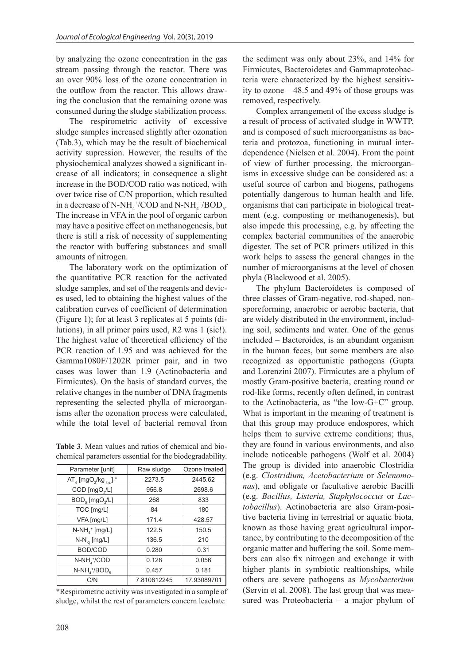by analyzing the ozone concentration in the gas stream passing through the reactor. There was an over 90% loss of the ozone concentration in the outflow from the reactor. This allows drawing the conclusion that the remaining ozone was consumed during the sludge stabilization process.

The respirometric activity of excessive sludge samples increased slightly after ozonation (Tab.3), which may be the result of biochemical activity supression. However, the results of the physiochemical analyzes showed a significant increase of all indicators; in consequence a slight increase in the BOD/COD ratio was noticed, with over twice rise of C/N proportion, which resulted in a decrease of N-NH<sub>4</sub>+/COD and N-NH<sub>4</sub>+/BOD<sub>5</sub>. The increase in VFA in the pool of organic carbon may have a positive effect on methanogenesis, but there is still a risk of necessity of supplementing the reactor with buffering substances and small amounts of nitrogen.

The laboratory work on the optimization of the quantitative PCR reaction for the activated sludge samples, and set of the reagents and devices used, led to obtaining the highest values of the calibration curves of coefficient of determination (Figure 1); for at least 3 replicates at 5 points (dilutions), in all primer pairs used, R2 was 1 (sic!). The highest value of theoretical efficiency of the PCR reaction of 1.95 and was achieved for the Gamma1080F/1202R primer pair, and in two cases was lower than 1.9 (Actinobacteria and Firmicutes). On the basis of standard curves, the relative changes in the number of DNA fragments representing the selected phylla of microorganisms after the ozonation process were calculated, while the total level of bacterial removal from

**Table 3**. Mean values and ratios of chemical and biochemical parameters essential for the biodegradability.

| Parameter [unit]                         | Raw sludge  | Ozone treated |
|------------------------------------------|-------------|---------------|
| $AT_4$ [mgO <sub>2</sub> /kg $_{ts}$ ] * | 2273.5      | 2445.62       |
| COD [mgO <sub>2</sub> /L]                | 956.8       | 2698.6        |
| $BOD5$ [mgO <sub>2</sub> /L]             | 268         | 833           |
| TOC [mg/L]                               | 84          | 180           |
| VFA [mg/L]                               | 171.4       | 428.57        |
| $N-NH_4^+$ [mg/L]                        | 122.5       | 150.5         |
| $N-N_{\rm Ki}$ [mg/L]                    | 136.5       | 210           |
| BOD/COD                                  | 0.280       | 0.31          |
| $N-NH_{4}^{+}/COD$                       | 0.128       | 0.056         |
| $N-NH_A^+ / BOD_s$                       | 0.457       | 0.181         |
| C/N                                      | 7.810612245 | 17.93089701   |

\*Respirometric activity was investigated in a sample of sludge, whilst the rest of parameters concern leachate

the sediment was only about 23%, and 14% for Firmicutes, Bacteroidetes and Gammaproteobacteria were characterized by the highest sensitivity to ozone – 48.5 and 49% of those groups was removed, respectively.

Complex arrangement of the excess sludge is a result of process of activated sludge in WWTP, and is composed of such microorganisms as bacteria and protozoa, functioning in mutual interdependence (Nielsen et al. 2004). From the point of view of further processing, the microorganisms in excessive sludge can be considered as: a useful source of carbon and biogens, pathogens potentially dangerous to human health and life, organisms that can participate in biological treatment (e.g. composting or methanogenesis), but also impede this processing, e.g. by affecting the complex bacterial communities of the anaerobic digester. The set of PCR primers utilized in this work helps to assess the general changes in the number of microorganisms at the level of chosen phyla (Blackwood et al. 2005).

The phylum Bacteroidetes is composed of three classes of Gram-negative, rod-shaped, nonsporeforming, anaerobic or aerobic bacteria, that are widely distributed in the environment, including soil, sediments and water. One of the genus included – Bacteroides, is an abundant organism in the human feces, but some members are also recognized as opportunistic pathogens (Gupta and Lorenzini 2007). Firmicutes are a phylum of mostly Gram-positive bacteria, creating round or rod-like forms, recently often defined, in contrast to the Actinobacteria, as "the low-G+C" group. What is important in the meaning of treatment is that this group may produce endospores, which helps them to survive extreme conditions; thus, they are found in various environments, and also include noticeable pathogens (Wolf et al. 2004) The group is divided into anaerobic Clostridia (e.g. *Clostridium, Acetobacterium* or *Selenomonas*), and obligate or facultative aerobic Bacilli (e.g. *Bacillus, Listeria, Staphylococcus* or *Lactobacillus*). Actinobacteria are also Gram-positive bacteria living in terrestrial or aquatic biota, known as those having great agricultural importance, by contributing to the decomposition of the organic matter and buffering the soil. Some members can also fix nitrogen and exchange it with higher plants in symbiotic realtionships, while others are severe pathogens as *Mycobacterium*  (Servin et al. 2008)*.* The last group that was measured was Proteobacteria – a major phylum of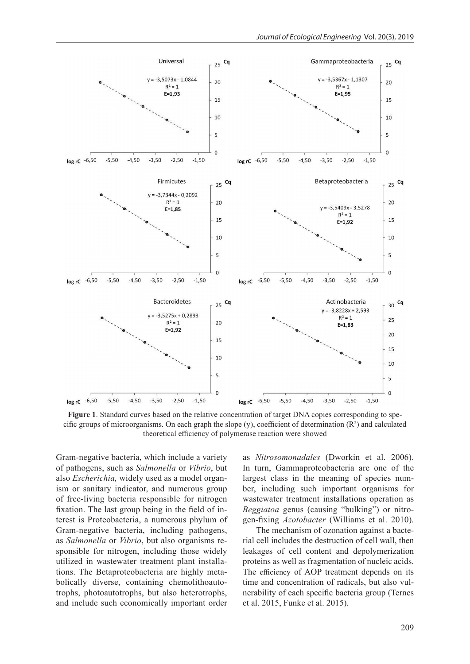

Figure 1. Standard curves based on the relative concentration of target DNA copies corresponding to specific groups of microorganisms. On each graph the slope (y), coefficient of determination  $(R^2)$  and calculated theoretical efficiency of polymerase reaction were showed

Gram-negative bacteria, which include a variety of pathogens, such as *Salmonella* or *Vibrio*, but also *Escherichia,* widely used as a model organism or sanitary indicator, and numerous group of free-living bacteria responsible for nitrogen fixation. The last group being in the field of interest is Proteobacteria, a numerous phylum of Gram-negative bacteria, including pathogens, as *Salmonella* or *Vibrio*, but also organisms responsible for nitrogen, including those widely utilized in wastewater treatment plant installations. The Betaproteobacteria are highly metabolically diverse, containing chemolithoautotrophs, photoautotrophs, but also heterotrophs, and include such economically important order

as *Nitrosomonadales* (Dworkin et al. 2006). In turn, Gammaproteobacteria are one of the largest class in the meaning of species number, including such important organisms for wastewater treatment installations operation as *Beggiatoa* genus (causing "bulking") or nitrogen-fixing *Azotobacter* (Williams et al. 2010).

The mechanism of ozonation against a bacterial cell includes the destruction of cell wall, then leakages of cell content and depolymerization proteins as well as fragmentation of nucleic acids. The efficiency of AOP treatment depends on its time and concentration of radicals, but also vulnerability of each specific bacteria group (Ternes et al. 2015, Funke et al. 2015).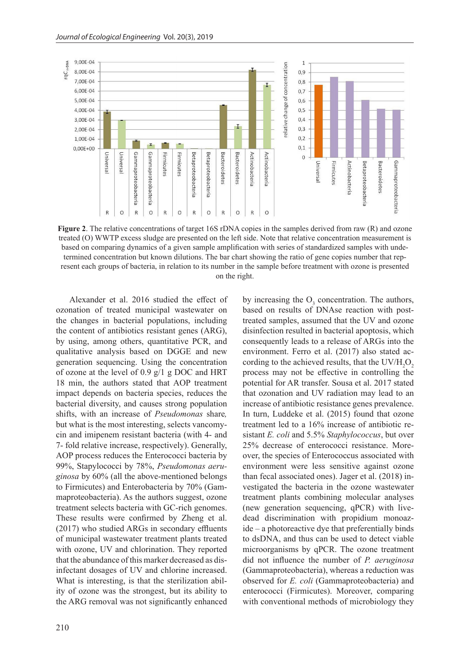

**Figure 2.** The relative concentrations of target 16S rDNA copies in the samples derived from raw (R) and ozone treated (O) WWTP excess sludge are presented on the left side. Note that relative concentration measurement is based on comparing dynamics of a given sample amplification with series of standardized samples with undetermined concentration but known dilutions. The bar chart showing the ratio of gene copies number that represent each groups of bacteria, in relation to its number in the sample before treatment with ozone is presented on the right.

Alexander et al. 2016 studied the effect of ozonation of treated municipal wastewater on the changes in bacterial populations, including the content of antibiotics resistant genes (ARG), by using, among others, quantitative PCR, and qualitative analysis based on DGGE and new generation sequencing. Using the concentration of ozone at the level of 0.9 g/1 g DOC and HRT 18 min, the authors stated that AOP treatment impact depends on bacteria species, reduces the bacterial diversity, and causes strong population shifts, with an increase of *Pseudomonas* share*,*  but what is the most interesting, selects vancomycin and imipenem resistant bacteria (with 4- and 7- fold relative increase, respectively). Generally, AOP process reduces the Enterococci bacteria by 99%, Stapylococci by 78%, *Pseudomonas aeruginosa* by 60% (all the above-mentioned belongs to Firmicutes) and Enterobacteria by 70% (Gammaproteobacteria). As the authors suggest, ozone treatment selects bacteria with GC-rich genomes. These results were confirmed by Zheng et al. (2017) who studied ARGs in secondary effluents of municipal wastewater treatment plants treated with ozone, UV and chlorination. They reported that the abundance of this marker decreased as disinfectant dosages of UV and chlorine increased. What is interesting, is that the sterilization ability of ozone was the strongest, but its ability to the ARG removal was not significantly enhanced

by increasing the  $O_3$  concentration. The authors, based on results of DNAse reaction with posttreated samples, assumed that the UV and ozone disinfection resulted in bacterial apoptosis, which consequently leads to a release of ARGs into the environment. Ferro et al. (2017) also stated according to the achieved results, that the UV/ $H_2O_2$ process may not be effective in controlling the potential for AR transfer. Sousa et al. 2017 stated that ozonation and UV radiation may lead to an increase of antibiotic resistance genes prevalence. In turn, Luddeke et al. (2015) found that ozone treatment led to a 16% increase of antibiotic resistant *E. coli* and 5.5% *Staphylococcus*, but over 25% decrease of enterococci resistance. Moreover, the species of Enterococcus associated with environment were less sensitive against ozone than fecal associated ones). Jager et al. (2018) investigated the bacteria in the ozone wastewater treatment plants combining molecular analyses (new generation sequencing, qPCR) with livedead discrimination with propidium monoazide – a photoreactive dye that preferentially binds to dsDNA, and thus can be used to detect viable microorganisms by qPCR. The ozone treatment did not influence the number of *P. aeruginosa* (Gammaproteobacteria), whereas a reduction was observed for *E. coli* (Gammaproteobacteria) and enterococci (Firmicutes). Moreover, comparing with conventional methods of microbiology they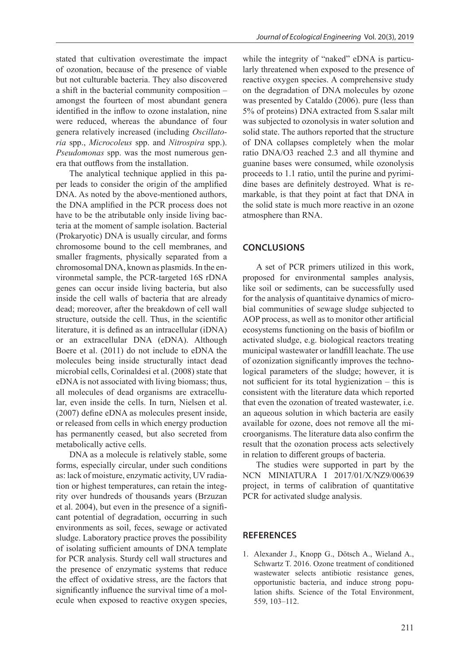stated that cultivation overestimate the impact of ozonation, because of the presence of viable but not culturable bacteria. They also discovered a shift in the bacterial community composition – amongst the fourteen of most abundant genera identified in the inflow to ozone instalation, nine were reduced, whereas the abundance of four genera relatively increased (including *Oscillatoria* spp., *Microcoleus* spp. and *Nitrospira* spp.). *Pseudomonas* spp. was the most numerous genera that outflows from the installation.

The analytical technique applied in this paper leads to consider the origin of the amplified DNA. As noted by the above-mentioned authors, the DNA amplified in the PCR process does not have to be the atributable only inside living bacteria at the moment of sample isolation. Bacterial (Prokaryotic) DNA is usually circular, and forms chromosome bound to the cell membranes, and smaller fragments, physically separated from a chromosomal DNA, known as plasmids. In the environmetal sample, the PCR-targeted 16S rDNA genes can occur inside living bacteria, but also inside the cell walls of bacteria that are already dead; moreover, after the breakdown of cell wall structure, outside the cell. Thus, in the scientific literature, it is defined as an intracellular (iDNA) or an extracellular DNA (eDNA). Although Boere et al. (2011) do not include to eDNA the molecules being inside structurally intact dead microbial cells, Corinaldesi et al. (2008) state that eDNA is not associated with living biomass; thus, all molecules of dead organisms are extracellular, even inside the cells. In turn, Nielsen et al. (2007) define eDNA as molecules present inside, or released from cells in which energy production has permanently ceased, but also secreted from metabolically active cells.

DNA as a molecule is relatively stable, some forms, especially circular, under such conditions as: lack of moisture, enzymatic activity, UV radiation or highest temperatures, can retain the integrity over hundreds of thousands years (Brzuzan et al. 2004), but even in the presence of a significant potential of degradation, occurring in such environments as soil, feces, sewage or activated sludge. Laboratory practice proves the possibility of isolating sufficient amounts of DNA template for PCR analysis. Sturdy cell wall structures and the presence of enzymatic systems that reduce the effect of oxidative stress, are the factors that significantly influence the survival time of a molecule when exposed to reactive oxygen species, while the integrity of "naked" eDNA is particularly threatened when exposed to the presence of reactive oxygen species. A comprehensive study on the degradation of DNA molecules by ozone was presented by Cataldo (2006). pure (less than 5% of proteins) DNA extracted from S.salar milt was subjected to ozonolysis in water solution and solid state. The authors reported that the structure of DNA collapses completely when the molar ratio DNA/O3 reached 2.3 and all thymine and guanine bases were consumed, while ozonolysis proceeds to 1.1 ratio, until the purine and pyrimidine bases are definitely destroyed. What is remarkable, is that they point at fact that DNA in the solid state is much more reactive in an ozone atmosphere than RNA.

# **CONCLUSIONS**

A set of PCR primers utilized in this work, proposed for environmental samples analysis, like soil or sediments, can be successfully used for the analysis of quantitaive dynamics of microbial communities of sewage sludge subjected to AOP process, as well as to monitor other artificial ecosystems functioning on the basis of biofilm or activated sludge, e.g. biological reactors treating municipal wastewater or landfill leachate. The use of ozonization significantly improves the technological parameters of the sludge; however, it is not sufficient for its total hygienization – this is consistent with the literature data which reported that even the ozonation of treated wastewater, i.e. an aqueous solution in which bacteria are easily available for ozone, does not remove all the microorganisms. The literature data also confirm the result that the ozonation process acts selectively in relation to different groups of bacteria.

The studies were supported in part by the NCN MINIATURA I 2017/01/X/NZ9/00639 project, in terms of calibration of quantitative PCR for activated sludge analysis.

#### **REFERENCES**

1. Alexander J., Knopp G., Dötsch A., Wieland A., Schwartz T. 2016. Ozone treatment of conditioned wastewater selects antibiotic resistance genes, opportunistic bacteria, and induce strong population shifts. Science of the Total Environment, 559, 103–112.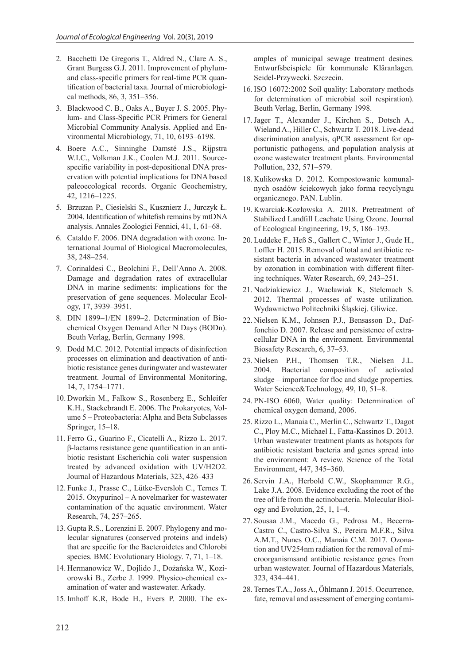- 2. Bacchetti De Gregoris T., Aldred N., Clare A. S., Grant Burgess G.J. 2011. Improvement of phylumand class-specific primers for real-time PCR quantification of bacterial taxa. Journal of microbiological methods, 86, 3, 351–356.
- 3. Blackwood C. B., Oaks A., Buyer J. S. 2005. Phylum- and Class-Specific PCR Primers for General Microbial Community Analysis. Applied and Environmental Microbiology, 71, 10, 6193–6198.
- 4. Boere A.C., Sinninghe Damsté J.S., Rijpstra W.I.C., Volkman J.K., Coolen M.J. 2011. Sourcespecific variability in post-depositional DNA preservation with potential implications for DNA based paleoecological records. Organic Geochemistry, 42, 1216–1225.
- 5. Brzuzan P., Ciesielski S., Kusznierz J., Jurczyk Ł. 2004. Identification of whitefish remains by mtDNA analysis. Annales Zoologici Fennici, 41, 1, 61–68.
- 6. Cataldo F. 2006. DNA degradation with ozone. International Journal of Biological Macromolecules, 38, 248–254.
- 7. Corinaldesi C., Beolchini F., Dell'Anno A. 2008. Damage and degradation rates of extracellular DNA in marine sediments: implications for the preservation of gene sequences. Molecular Ecology, 17, 3939–3951.
- 8. DIN 1899–1/EN 1899–2. Determination of Biochemical Oxygen Demand After N Days (BODn). Beuth Verlag, Berlin, Germany 1998.
- 9. Dodd M.C. 2012. Potential impacts of disinfection processes on elimination and deactivation of antibiotic resistance genes duringwater and wastewater treatment. Journal of Environmental Monitoring, 14, 7, 1754–1771.
- 10. Dworkin M., Falkow S., Rosenberg E., Schleifer K.H., Stackebrandt E. 2006. The Prokaryotes, Volume 5 – Proteobacteria: Alpha and Beta Subclasses Springer, 15–18.
- 11. Ferro G., Guarino F., Cicatelli A., Rizzo L. 2017. β-lactams resistance gene quantification in an antibiotic resistant Escherichia coli water suspension treated by advanced oxidation with UV/H2O2. Journal of Hazardous Materials, 323, 426–433
- 12. Funke J., Prasse C., Lütke-Eversloh C., Ternes T. 2015. Oxypurinol – A novelmarker for wastewater contamination of the aquatic environment. Water Research, 74, 257–265.
- 13. Gupta R.S., Lorenzini E. 2007. Phylogeny and molecular signatures (conserved proteins and indels) that are specific for the Bacteroidetes and Chlorobi species. BMC Evolutionary Biology. 7, 71, 1–18.
- 14. Hermanowicz W., Dojlido J., Dożańska W., Koziorowski B., Zerbe J. 1999. Physico-chemical examination of water and wastewater. Arkady.
- 15. Imhoff K.R, Bode H., Evers P. 2000. The ex-

amples of municipal sewage treatment desines. Entwurfsbeispiele für kommunale Kläranlagen. Seidel-Przywecki. Szczecin.

- 16. ISO 16072:2002 Soil quality: Laboratory methods for determination of microbial soil respiration). Beuth Verlag, Berlin, Germany 1998.
- 17.Jager T., Alexander J., Kirchen S., Dotsch A., Wieland A., Hiller C., Schwartz T. 2018. Live-dead discrimination analysis, qPCR assessment for opportunistic pathogens, and population analysis at ozone wastewater treatment plants. Environmental Pollution, 232, 571–579.
- 18. Kulikowska D. 2012. Kompostowanie komunalnych osadów ściekowych jako forma recyclyngu organicznego. PAN. Lublin.
- 19. Kwarciak-Kozłowska A. 2018. Pretreatment of Stabilized Landfill Leachate Using Ozone. Journal of Ecological Engineering, 19, 5, 186–193.
- 20. Luddeke F., Heß S., Gallert C., Winter J., Gude H., Loffler H. 2015. Removal of total and antibiotic resistant bacteria in advanced wastewater treatment by ozonation in combination with different filtering techniques. Water Research, 69, 243–251.
- 21. Nadziakiewicz J., Wacławiak K, Stelcmach S. 2012. Thermal processes of waste utilization. Wydawnictwo Politechniki Śląskiej. Gliwice.
- 22. Nielsen K.M., Johnsen P.J., Bensasson D., Daffonchio D. 2007. Release and persistence of extracellular DNA in the environment. Environmental Biosafety Research, 6, 37–53.
- 23. Nielsen P.H., Thomsen T.R., Nielsen J.L. 2004. Bacterial composition of activated sludge – importance for floc and sludge properties. Water Science&Technology, 49, 10, 51–8.
- 24. PN-ISO 6060, Water quality: Determination of chemical oxygen demand, 2006.
- 25. Rizzo L., Manaia C., Merlin C., Schwartz T., Dagot C., Ploy M.C., Michael I., Fatta-Kassinos D. 2013. Urban wastewater treatment plants as hotspots for antibiotic resistant bacteria and genes spread into the environment: A review. Science of the Total Environment, 447, 345–360.
- 26. Servin J.A., Herbold C.W., Skophammer R.G., Lake J.A. 2008. Evidence excluding the root of the tree of life from the actinobacteria. Molecular Biology and Evolution, 25, 1, 1–4.
- 27. Sousaa J.M., Macedo G., Pedrosa M., Becerra-Castro C., Castro-Silva S., Pereira M.F.R., Silva A.M.T., Nunes O.C., Manaia C.M. 2017. Ozonation and UV254nm radiation for the removal of microorganismsand antibiotic resistance genes from urban wastewater. Journal of Hazardous Materials, 323, 434–441.
- 28. Ternes T.A., Joss A., Öhlmann J. 2015. Occurrence, fate, removal and assessment of emerging contami-